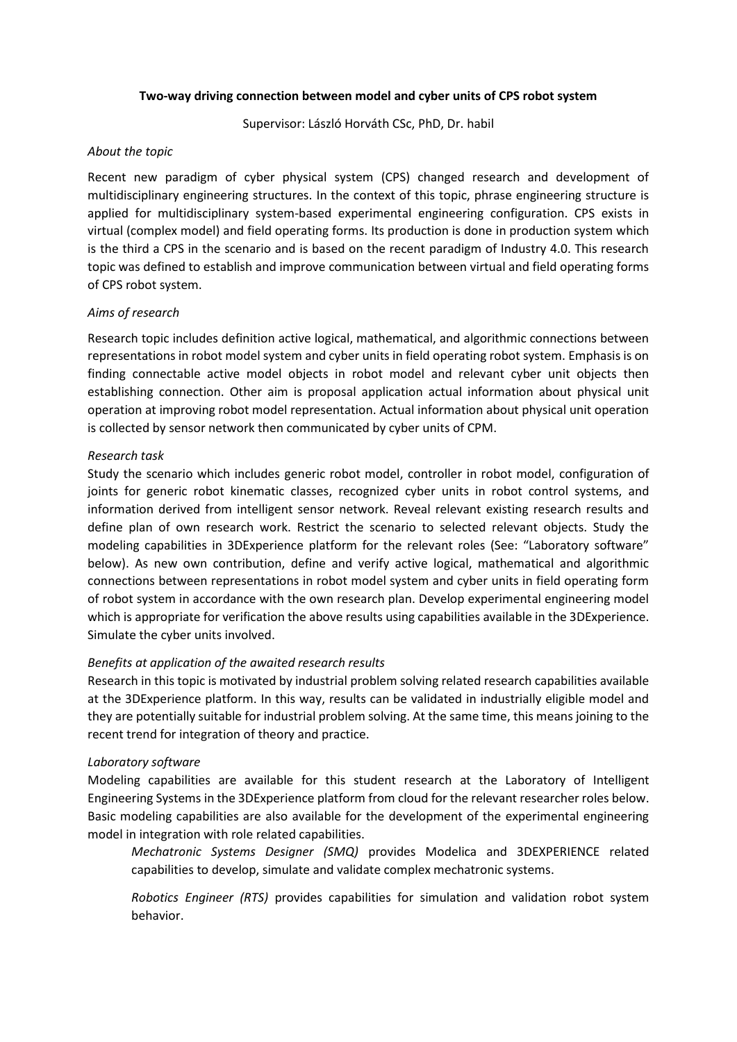## **Two-way driving connection between model and cyber units of CPS robot system**

Supervisor: László Horváth CSc, PhD, Dr. habil

## *About the topic*

Recent new paradigm of cyber physical system (CPS) changed research and development of multidisciplinary engineering structures. In the context of this topic, phrase engineering structure is applied for multidisciplinary system-based experimental engineering configuration. CPS exists in virtual (complex model) and field operating forms. Its production is done in production system which is the third a CPS in the scenario and is based on the recent paradigm of Industry 4.0. This research topic was defined to establish and improve communication between virtual and field operating forms of CPS robot system.

# *Aims of research*

Research topic includes definition active logical, mathematical, and algorithmic connections between representations in robot model system and cyber units in field operating robot system. Emphasis is on finding connectable active model objects in robot model and relevant cyber unit objects then establishing connection. Other aim is proposal application actual information about physical unit operation at improving robot model representation. Actual information about physical unit operation is collected by sensor network then communicated by cyber units of CPM.

# *Research task*

Study the scenario which includes generic robot model, controller in robot model, configuration of joints for generic robot kinematic classes, recognized cyber units in robot control systems, and information derived from intelligent sensor network. Reveal relevant existing research results and define plan of own research work. Restrict the scenario to selected relevant objects. Study the modeling capabilities in 3DExperience platform for the relevant roles (See: "Laboratory software" below). As new own contribution, define and verify active logical, mathematical and algorithmic connections between representations in robot model system and cyber units in field operating form of robot system in accordance with the own research plan. Develop experimental engineering model which is appropriate for verification the above results using capabilities available in the 3DExperience. Simulate the cyber units involved.

# *Benefits at application of the awaited research results*

Research in this topic is motivated by industrial problem solving related research capabilities available at the 3DExperience platform. In this way, results can be validated in industrially eligible model and they are potentially suitable for industrial problem solving. At the same time, this means joining to the recent trend for integration of theory and practice.

# *Laboratory software*

Modeling capabilities are available for this student research at the Laboratory of Intelligent Engineering Systems in the 3DExperience platform from cloud for the relevant researcher roles below. Basic modeling capabilities are also available for the development of the experimental engineering model in integration with role related capabilities.

*Mechatronic Systems Designer (SMQ)* provides Modelica and 3DEXPERIENCE related capabilities to develop, simulate and validate complex mechatronic systems.

*Robotics Engineer (RTS)* provides capabilities for simulation and validation robot system behavior.